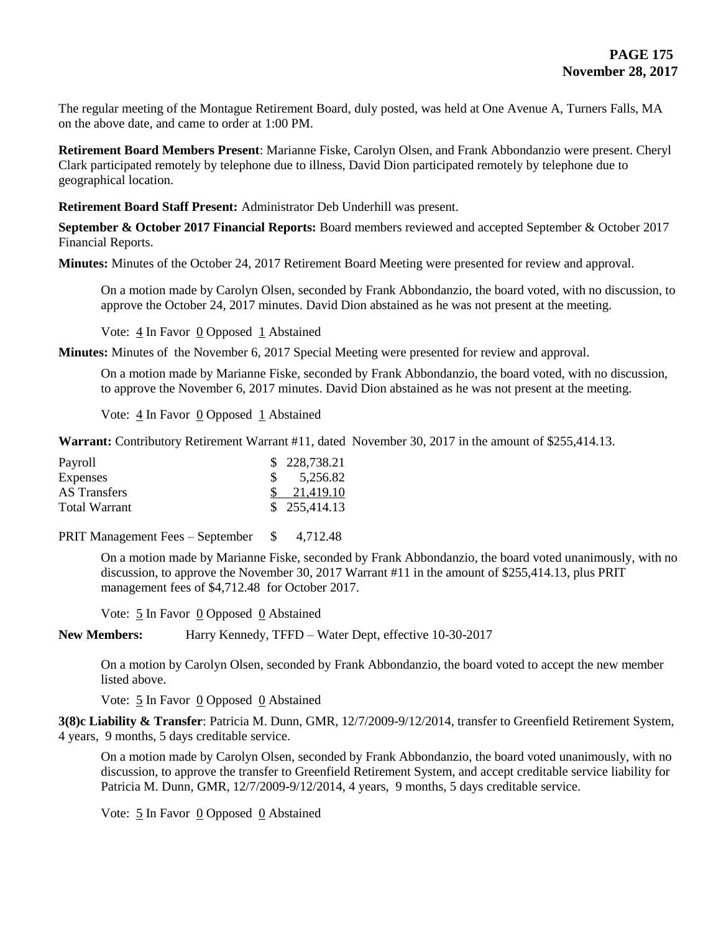The regular meeting of the Montague Retirement Board, duly posted, was held at One Avenue A, Turners Falls, MA on the above date, and came to order at 1:00 PM.

**Retirement Board Members Present**: Marianne Fiske, Carolyn Olsen, and Frank Abbondanzio were present. Cheryl Clark participated remotely by telephone due to illness, David Dion participated remotely by telephone due to geographical location.

**Retirement Board Staff Present:** Administrator Deb Underhill was present.

**September & October 2017 Financial Reports:** Board members reviewed and accepted September & October 2017 Financial Reports.

**Minutes:** Minutes of the October 24, 2017 Retirement Board Meeting were presented for review and approval.

On a motion made by Carolyn Olsen, seconded by Frank Abbondanzio, the board voted, with no discussion, to approve the October 24, 2017 minutes. David Dion abstained as he was not present at the meeting.

Vote: 4 In Favor 0 Opposed 1 Abstained

**Minutes:** Minutes of the November 6, 2017 Special Meeting were presented for review and approval.

On a motion made by Marianne Fiske, seconded by Frank Abbondanzio, the board voted, with no discussion, to approve the November 6, 2017 minutes. David Dion abstained as he was not present at the meeting.

Vote:  $\frac{4}{1}$  In Favor 0 Opposed 1 Abstained

**Warrant:** Contributory Retirement Warrant #11, dated November 30, 2017 in the amount of \$255,414.13.

| Payroll         | \$228,738.21           |
|-----------------|------------------------|
| <b>Expenses</b> | \$5,256.82             |
| AS Transfers    | $\frac{\$}{21,419.10}$ |
| Total Warrant   | \$255,414.13           |

PRIT Management Fees – September \$ 4,712.48

On a motion made by Marianne Fiske, seconded by Frank Abbondanzio, the board voted unanimously, with no discussion, to approve the November 30, 2017 Warrant #11 in the amount of \$255,414.13, plus PRIT management fees of \$4,712.48 for October 2017.

Vote:  $\frac{5}{2}$  In Favor  $\frac{0}{2}$  Opposed  $\frac{0}{2}$  Abstained

**New Members:** Harry Kennedy, TFFD – Water Dept, effective 10-30-2017

On a motion by Carolyn Olsen, seconded by Frank Abbondanzio, the board voted to accept the new member listed above.

Vote: 5 In Favor 0 Opposed 0 Abstained

**3(8)c Liability & Transfer**: Patricia M. Dunn, GMR, 12/7/2009-9/12/2014, transfer to Greenfield Retirement System, 4 years, 9 months, 5 days creditable service.

On a motion made by Carolyn Olsen, seconded by Frank Abbondanzio, the board voted unanimously, with no discussion, to approve the transfer to Greenfield Retirement System, and accept creditable service liability for Patricia M. Dunn, GMR, 12/7/2009-9/12/2014, 4 years, 9 months, 5 days creditable service.

Vote: 5 In Favor 0 Opposed 0 Abstained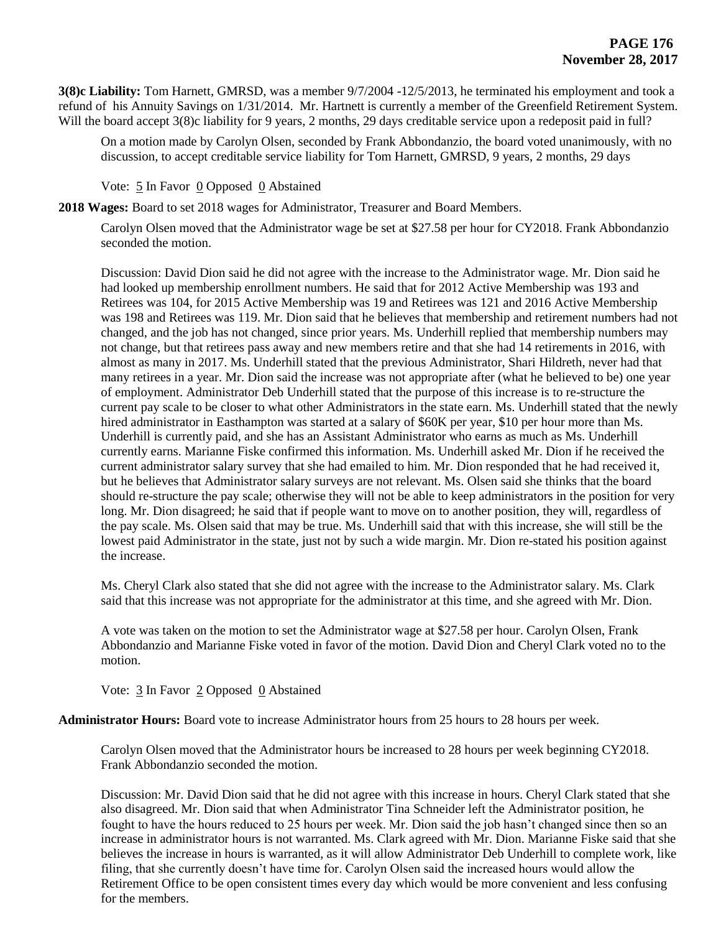**3(8)c Liability:** Tom Harnett, GMRSD, was a member 9/7/2004 -12/5/2013, he terminated his employment and took a refund of his Annuity Savings on 1/31/2014. Mr. Hartnett is currently a member of the Greenfield Retirement System. Will the board accept 3(8)c liability for 9 years, 2 months, 29 days creditable service upon a redeposit paid in full?

On a motion made by Carolyn Olsen, seconded by Frank Abbondanzio, the board voted unanimously, with no discussion, to accept creditable service liability for Tom Harnett, GMRSD, 9 years, 2 months, 29 days

Vote: 5 In Favor 0 Opposed 0 Abstained

**2018 Wages:** Board to set 2018 wages for Administrator, Treasurer and Board Members.

Carolyn Olsen moved that the Administrator wage be set at \$27.58 per hour for CY2018. Frank Abbondanzio seconded the motion.

Discussion: David Dion said he did not agree with the increase to the Administrator wage. Mr. Dion said he had looked up membership enrollment numbers. He said that for 2012 Active Membership was 193 and Retirees was 104, for 2015 Active Membership was 19 and Retirees was 121 and 2016 Active Membership was 198 and Retirees was 119. Mr. Dion said that he believes that membership and retirement numbers had not changed, and the job has not changed, since prior years. Ms. Underhill replied that membership numbers may not change, but that retirees pass away and new members retire and that she had 14 retirements in 2016, with almost as many in 2017. Ms. Underhill stated that the previous Administrator, Shari Hildreth, never had that many retirees in a year. Mr. Dion said the increase was not appropriate after (what he believed to be) one year of employment. Administrator Deb Underhill stated that the purpose of this increase is to re-structure the current pay scale to be closer to what other Administrators in the state earn. Ms. Underhill stated that the newly hired administrator in Easthampton was started at a salary of \$60K per year, \$10 per hour more than Ms. Underhill is currently paid, and she has an Assistant Administrator who earns as much as Ms. Underhill currently earns. Marianne Fiske confirmed this information. Ms. Underhill asked Mr. Dion if he received the current administrator salary survey that she had emailed to him. Mr. Dion responded that he had received it, but he believes that Administrator salary surveys are not relevant. Ms. Olsen said she thinks that the board should re-structure the pay scale; otherwise they will not be able to keep administrators in the position for very long. Mr. Dion disagreed; he said that if people want to move on to another position, they will, regardless of the pay scale. Ms. Olsen said that may be true. Ms. Underhill said that with this increase, she will still be the lowest paid Administrator in the state, just not by such a wide margin. Mr. Dion re-stated his position against the increase.

Ms. Cheryl Clark also stated that she did not agree with the increase to the Administrator salary. Ms. Clark said that this increase was not appropriate for the administrator at this time, and she agreed with Mr. Dion.

A vote was taken on the motion to set the Administrator wage at \$27.58 per hour. Carolyn Olsen, Frank Abbondanzio and Marianne Fiske voted in favor of the motion. David Dion and Cheryl Clark voted no to the motion.

Vote: 3 In Favor 2 Opposed 0 Abstained

**Administrator Hours:** Board vote to increase Administrator hours from 25 hours to 28 hours per week.

Carolyn Olsen moved that the Administrator hours be increased to 28 hours per week beginning CY2018. Frank Abbondanzio seconded the motion.

Discussion: Mr. David Dion said that he did not agree with this increase in hours. Cheryl Clark stated that she also disagreed. Mr. Dion said that when Administrator Tina Schneider left the Administrator position, he fought to have the hours reduced to 25 hours per week. Mr. Dion said the job hasn't changed since then so an increase in administrator hours is not warranted. Ms. Clark agreed with Mr. Dion. Marianne Fiske said that she believes the increase in hours is warranted, as it will allow Administrator Deb Underhill to complete work, like filing, that she currently doesn't have time for. Carolyn Olsen said the increased hours would allow the Retirement Office to be open consistent times every day which would be more convenient and less confusing for the members.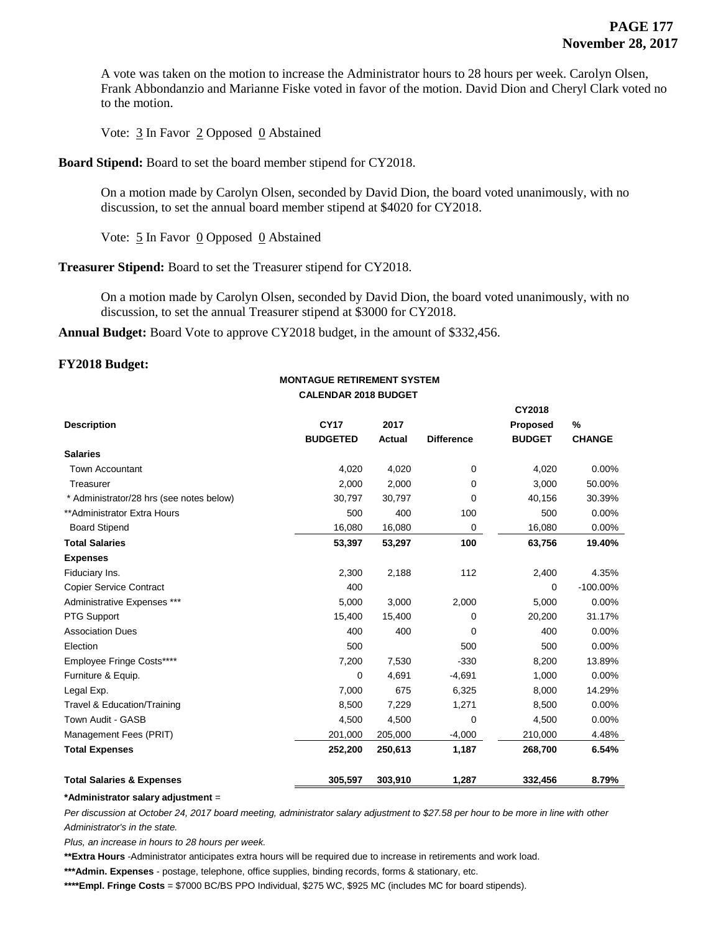**CY2018** 

A vote was taken on the motion to increase the Administrator hours to 28 hours per week. Carolyn Olsen, Frank Abbondanzio and Marianne Fiske voted in favor of the motion. David Dion and Cheryl Clark voted no to the motion.

Vote:  $\frac{3}{2}$  In Favor  $\frac{2}{2}$  Opposed  $\frac{0}{2}$  Abstained

# **Board Stipend:** Board to set the board member stipend for CY2018.

On a motion made by Carolyn Olsen, seconded by David Dion, the board voted unanimously, with no discussion, to set the annual board member stipend at \$4020 for CY2018.

Vote:  $\frac{5}{5}$  In Favor 0 Opposed 0 Abstained

**Treasurer Stipend:** Board to set the Treasurer stipend for CY2018.

On a motion made by Carolyn Olsen, seconded by David Dion, the board voted unanimously, with no discussion, to set the annual Treasurer stipend at \$3000 for CY2018.

**Annual Budget:** Board Vote to approve CY2018 budget, in the amount of \$332,456.

# **FY2018 Budget:**

### **MONTAGUE RETIREMENT SYSTEM CALENDAR 2018 BUDGET**

|                                          |                 |         |                   | <b>UTZUI</b> Ö  | %             |
|------------------------------------------|-----------------|---------|-------------------|-----------------|---------------|
| <b>Description</b>                       | <b>CY17</b>     | 2017    |                   | <b>Proposed</b> |               |
|                                          | <b>BUDGETED</b> | Actual  | <b>Difference</b> | <b>BUDGET</b>   | <b>CHANGE</b> |
| <b>Salaries</b>                          |                 |         |                   |                 |               |
| <b>Town Accountant</b>                   | 4,020           | 4,020   | $\mathbf 0$       | 4,020           | 0.00%         |
| Treasurer                                | 2,000           | 2,000   | 0                 | 3,000           | 50.00%        |
| * Administrator/28 hrs (see notes below) | 30,797          | 30,797  | 0                 | 40,156          | 30.39%        |
| **Administrator Extra Hours              | 500             | 400     | 100               | 500             | 0.00%         |
| <b>Board Stipend</b>                     | 16,080          | 16,080  | 0                 | 16,080          | 0.00%         |
| <b>Total Salaries</b>                    | 53,397          | 53,297  | 100               | 63,756          | 19.40%        |
| <b>Expenses</b>                          |                 |         |                   |                 |               |
| Fiduciary Ins.                           | 2,300           | 2,188   | 112               | 2,400           | 4.35%         |
| <b>Copier Service Contract</b>           | 400             |         |                   | 0               | $-100.00\%$   |
| Administrative Expenses ***              | 5,000           | 3,000   | 2,000             | 5,000           | 0.00%         |
| PTG Support                              | 15,400          | 15,400  | $\Omega$          | 20,200          | 31.17%        |
| <b>Association Dues</b>                  | 400             | 400     | 0                 | 400             | 0.00%         |
| Election                                 | 500             |         | 500               | 500             | 0.00%         |
| Employee Fringe Costs****                | 7,200           | 7,530   | $-330$            | 8,200           | 13.89%        |
| Furniture & Equip.                       | $\mathbf 0$     | 4,691   | $-4,691$          | 1,000           | 0.00%         |
| Legal Exp.                               | 7,000           | 675     | 6,325             | 8,000           | 14.29%        |
| Travel & Education/Training              | 8,500           | 7,229   | 1,271             | 8,500           | 0.00%         |
| Town Audit - GASB                        | 4,500           | 4,500   | 0                 | 4,500           | 0.00%         |
| Management Fees (PRIT)                   | 201,000         | 205,000 | $-4,000$          | 210,000         | 4.48%         |
| <b>Total Expenses</b>                    | 252,200         | 250,613 | 1,187             | 268,700         | 6.54%         |
| <b>Total Salaries &amp; Expenses</b>     | 305,597         | 303,910 | 1,287             | 332,456         | 8.79%         |

#### **\*Administrator salary adjustment** =

*Per discussion at October 24, 2017 board meeting, administrator salary adjustment to \$27.58 per hour to be more in line with other Administrator's in the state.* 

*Plus, an increase in hours to 28 hours per week.*

**\*\*Extra Hours** *-*Administrator anticipates extra hours will be required due to increase in retirements and work load.

**\*\*\*Admin. Expenses** - postage, telephone, office supplies, binding records, forms & stationary, etc.

**\*\*\*\*Empl. Fringe Costs** = \$7000 BC/BS PPO Individual, \$275 WC, \$925 MC (includes MC for board stipends).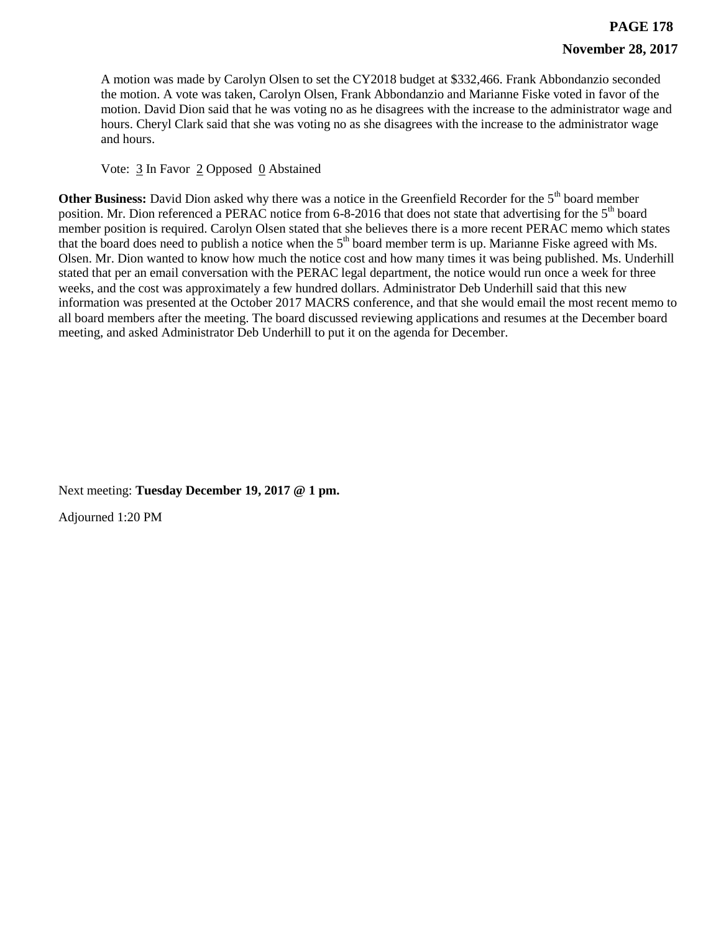A motion was made by Carolyn Olsen to set the CY2018 budget at \$332,466. Frank Abbondanzio seconded the motion. A vote was taken, Carolyn Olsen, Frank Abbondanzio and Marianne Fiske voted in favor of the motion. David Dion said that he was voting no as he disagrees with the increase to the administrator wage and hours. Cheryl Clark said that she was voting no as she disagrees with the increase to the administrator wage and hours.

Vote:  $\frac{3}{2}$  In Favor  $\frac{2}{2}$  Opposed  $\frac{0}{2}$  Abstained

**Other Business:** David Dion asked why there was a notice in the Greenfield Recorder for the 5<sup>th</sup> board member position. Mr. Dion referenced a PERAC notice from 6-8-2016 that does not state that advertising for the 5<sup>th</sup> board member position is required. Carolyn Olsen stated that she believes there is a more recent PERAC memo which states that the board does need to publish a notice when the  $5<sup>th</sup>$  board member term is up. Marianne Fiske agreed with Ms. Olsen. Mr. Dion wanted to know how much the notice cost and how many times it was being published. Ms. Underhill stated that per an email conversation with the PERAC legal department, the notice would run once a week for three weeks, and the cost was approximately a few hundred dollars. Administrator Deb Underhill said that this new information was presented at the October 2017 MACRS conference, and that she would email the most recent memo to all board members after the meeting. The board discussed reviewing applications and resumes at the December board meeting, and asked Administrator Deb Underhill to put it on the agenda for December.

Next meeting: **Tuesday December 19, 2017 @ 1 pm.**

Adjourned 1:20 PM